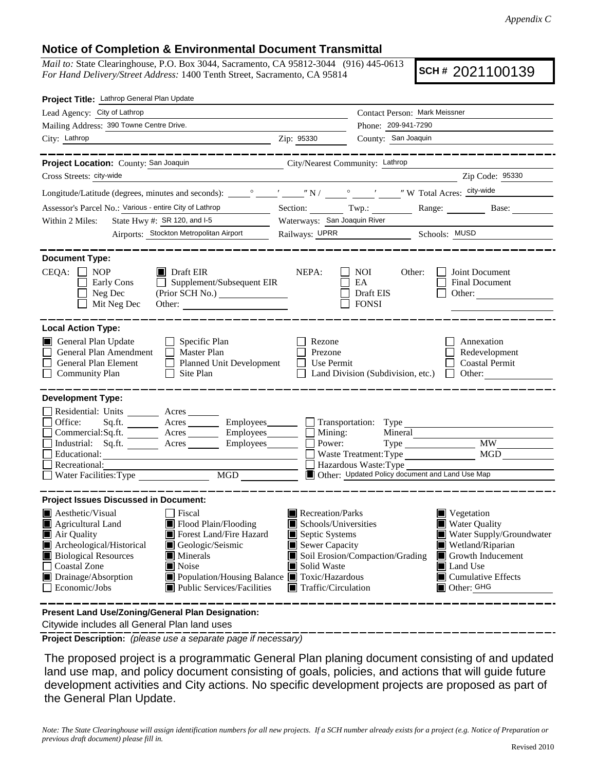## **Notice of Completion & Environmental Document Transmittal**

*Mail to:* State Clearinghouse, P.O. Box 3044, Sacramento, CA 95812-3044 (916) 445-0613 *For Hand Delivery/Street Address:* 1400 Tenth Street, Sacramento, CA 95814

**SCH #** 2021100139

| Project Title: Lathrop General Plan Update                                                                                                                                                                                                                                                                                                                                                                                                                                                                                                         |                                                                                                                                                                                                                                                                                                                                 |  |  |  |  |
|----------------------------------------------------------------------------------------------------------------------------------------------------------------------------------------------------------------------------------------------------------------------------------------------------------------------------------------------------------------------------------------------------------------------------------------------------------------------------------------------------------------------------------------------------|---------------------------------------------------------------------------------------------------------------------------------------------------------------------------------------------------------------------------------------------------------------------------------------------------------------------------------|--|--|--|--|
| Lead Agency: City of Lathrop                                                                                                                                                                                                                                                                                                                                                                                                                                                                                                                       | Contact Person: Mark Meissner                                                                                                                                                                                                                                                                                                   |  |  |  |  |
| Mailing Address: 390 Towne Centre Drive.                                                                                                                                                                                                                                                                                                                                                                                                                                                                                                           | Phone: 209-941-7290                                                                                                                                                                                                                                                                                                             |  |  |  |  |
| City: Lathrop                                                                                                                                                                                                                                                                                                                                                                                                                                                                                                                                      | County: San Joaquin<br>Zip: 95330                                                                                                                                                                                                                                                                                               |  |  |  |  |
| _______                                                                                                                                                                                                                                                                                                                                                                                                                                                                                                                                            |                                                                                                                                                                                                                                                                                                                                 |  |  |  |  |
| Project Location: County: San Joaquin                                                                                                                                                                                                                                                                                                                                                                                                                                                                                                              | City/Nearest Community: Lathrop                                                                                                                                                                                                                                                                                                 |  |  |  |  |
| Cross Streets: city-wide                                                                                                                                                                                                                                                                                                                                                                                                                                                                                                                           | Zip Code: 95330                                                                                                                                                                                                                                                                                                                 |  |  |  |  |
|                                                                                                                                                                                                                                                                                                                                                                                                                                                                                                                                                    |                                                                                                                                                                                                                                                                                                                                 |  |  |  |  |
| Assessor's Parcel No.: Various - entire City of Lathrop                                                                                                                                                                                                                                                                                                                                                                                                                                                                                            | Section: Twp.:<br>Range: Base:                                                                                                                                                                                                                                                                                                  |  |  |  |  |
| State Hwy #: SR 120, and I-5<br>Within 2 Miles:<br>$\begin{tabular}{c} \multicolumn{2}{c} {\textbf{1}} & \multicolumn{2}{c} {\textbf{1}} & \multicolumn{2}{c} {\textbf{1}} \\ \multicolumn{2}{c} {\textbf{1}} & \multicolumn{2}{c} {\textbf{1}} & \multicolumn{2}{c} {\textbf{1}} \\ \multicolumn{2}{c} {\textbf{1}} & \multicolumn{2}{c} {\textbf{1}} & \multicolumn{2}{c} {\textbf{1}} \\ \multicolumn{2}{c} {\textbf{1}} & \multicolumn{2}{c} {\textbf{1}} & \multicolumn{2}{c} {\textbf{1}} \\ \multicolumn{2}{c} {\textbf{1}} & \multicolumn$ | Waterways: San Joaquin River                                                                                                                                                                                                                                                                                                    |  |  |  |  |
| Airports: Stockton Metropolitan Airport                                                                                                                                                                                                                                                                                                                                                                                                                                                                                                            | Railways: UPRR Schools: MUSD                                                                                                                                                                                                                                                                                                    |  |  |  |  |
| <b>Document Type:</b>                                                                                                                                                                                                                                                                                                                                                                                                                                                                                                                              |                                                                                                                                                                                                                                                                                                                                 |  |  |  |  |
| $CEQA: \Box NP$<br>$\blacksquare$ Draft EIR<br>$\Box$ Supplement/Subsequent EIR<br>Early Cons<br>Neg Dec<br>Mit Neg Dec<br>Other:                                                                                                                                                                                                                                                                                                                                                                                                                  | NEPA:<br>Joint Document<br><b>NOI</b><br>Other:<br>EA<br>Final Document<br>Draft EIS<br>Other:<br><b>FONSI</b>                                                                                                                                                                                                                  |  |  |  |  |
| <b>Local Action Type:</b><br>General Plan Update<br>$\Box$ Specific Plan<br>General Plan Amendment<br>$\Box$ Master Plan<br>General Plan Element<br>Planned Unit Development<br><b>Community Plan</b><br>Site Plan<br>$\Box$                                                                                                                                                                                                                                                                                                                       | Rezone<br>Annexation<br>Redevelopment<br>Prezone<br>Use Permit<br><b>Coastal Permit</b><br>$\perp$<br>Land Division (Subdivision, etc.)<br>Other:<br>$\mathbf{L}$                                                                                                                                                               |  |  |  |  |
| <b>Development Type:</b><br>Residential: Units ________ Acres _______<br>Office:<br>Commercial:Sq.ft. _________ Acres _________ Employees _______ __ Mining:<br>Acres Employees Power:<br>Industrial: Sq.ft.<br>Educational:<br>Recreational:<br>MGD<br>Water Facilities: Type                                                                                                                                                                                                                                                                     | Sq.ft. ________ Acres _________ Employees _______ __ Transportation: Type _______<br>Mineral<br><b>MW</b><br>Type<br>MGD<br>Waste Treatment: Type<br>Hazardous Waste: Type<br>Other: Updated Policy document and Land Use Map                                                                                                   |  |  |  |  |
| <b>Project Issues Discussed in Document:</b>                                                                                                                                                                                                                                                                                                                                                                                                                                                                                                       |                                                                                                                                                                                                                                                                                                                                 |  |  |  |  |
| $\blacksquare$ Aesthetic/Visual<br>  Fiscal<br>Flood Plain/Flooding<br>Agricultural Land<br>Forest Land/Fire Hazard<br>Air Quality<br>Archeological/Historical<br>Geologic/Seismic<br><b>Biological Resources</b><br>Minerals<br>Ш<br><b>Coastal Zone</b><br>$\blacksquare$ Noise<br>Drainage/Absorption<br>Population/Housing Balance <b>T</b> Toxic/Hazardous<br>Economic/Jobs<br>Public Services/Facilities                                                                                                                                     | Recreation/Parks<br>Vegetation<br>Schools/Universities<br><b>Water Quality</b><br>Septic Systems<br>Water Supply/Groundwater<br>Sewer Capacity<br>Wetland/Riparian<br>Soil Erosion/Compaction/Grading<br>Growth Inducement<br>Solid Waste<br>Land Use<br>$\blacksquare$ Cumulative Effects<br>Traffic/Circulation<br>Other: GHG |  |  |  |  |
| Present Land Use/Zoning/General Plan Designation:                                                                                                                                                                                                                                                                                                                                                                                                                                                                                                  |                                                                                                                                                                                                                                                                                                                                 |  |  |  |  |

Citywide includes all General Plan land uses

**Project Description:** *(please use a separate page if necessary)*

 The proposed project is a programmatic General Plan planing document consisting of and updated land use map, and policy document consisting of goals, policies, and actions that will guide future development activities and City actions. No specific development projects are proposed as part of the General Plan Update.

*Note: The State Clearinghouse will assign identification numbers for all new projects. If a SCH number already exists for a project (e.g. Notice of Preparation or previous draft document) please fill in.*